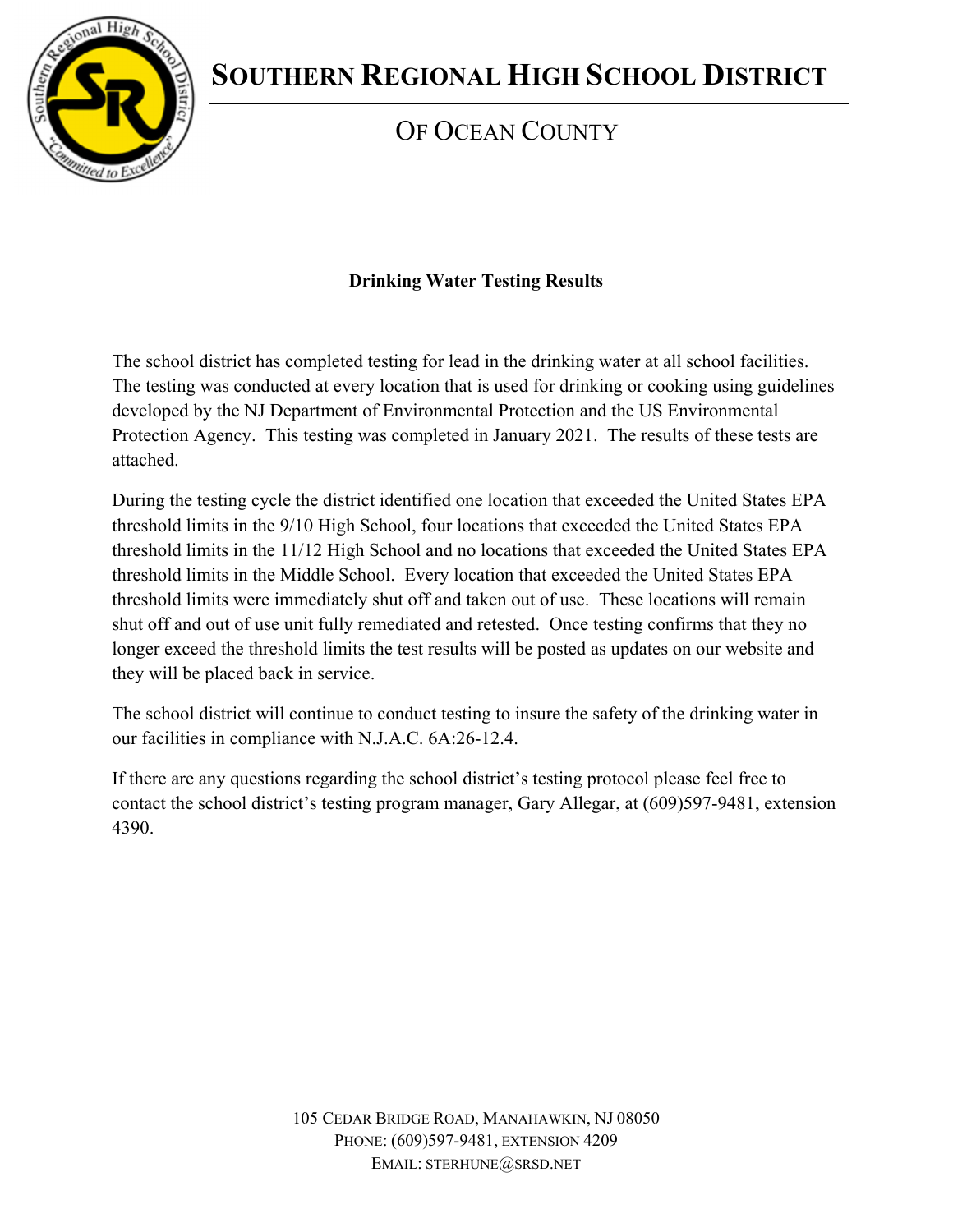

# **SOUTHERN REGIONAL HIGH SCHOOL DISTRICT**

## OF OCEAN COUNTY

### **Drinking Water Testing Results**

The school district has completed testing for lead in the drinking water at all school facilities. The testing was conducted at every location that is used for drinking or cooking using guidelines developed by the NJ Department of Environmental Protection and the US Environmental Protection Agency. This testing was completed in January 2021. The results of these tests are attached.

During the testing cycle the district identified one location that exceeded the United States EPA threshold limits in the 9/10 High School, four locations that exceeded the United States EPA threshold limits in the 11/12 High School and no locations that exceeded the United States EPA threshold limits in the Middle School. Every location that exceeded the United States EPA threshold limits were immediately shut off and taken out of use. These locations will remain shut off and out of use unit fully remediated and retested. Once testing confirms that they no longer exceed the threshold limits the test results will be posted as updates on our website and they will be placed back in service.

The school district will continue to conduct testing to insure the safety of the drinking water in our facilities in compliance with N.J.A.C. 6A:26-12.4.

If there are any questions regarding the school district's testing protocol please feel free to contact the school district's testing program manager, Gary Allegar, at (609)597-9481, extension 4390.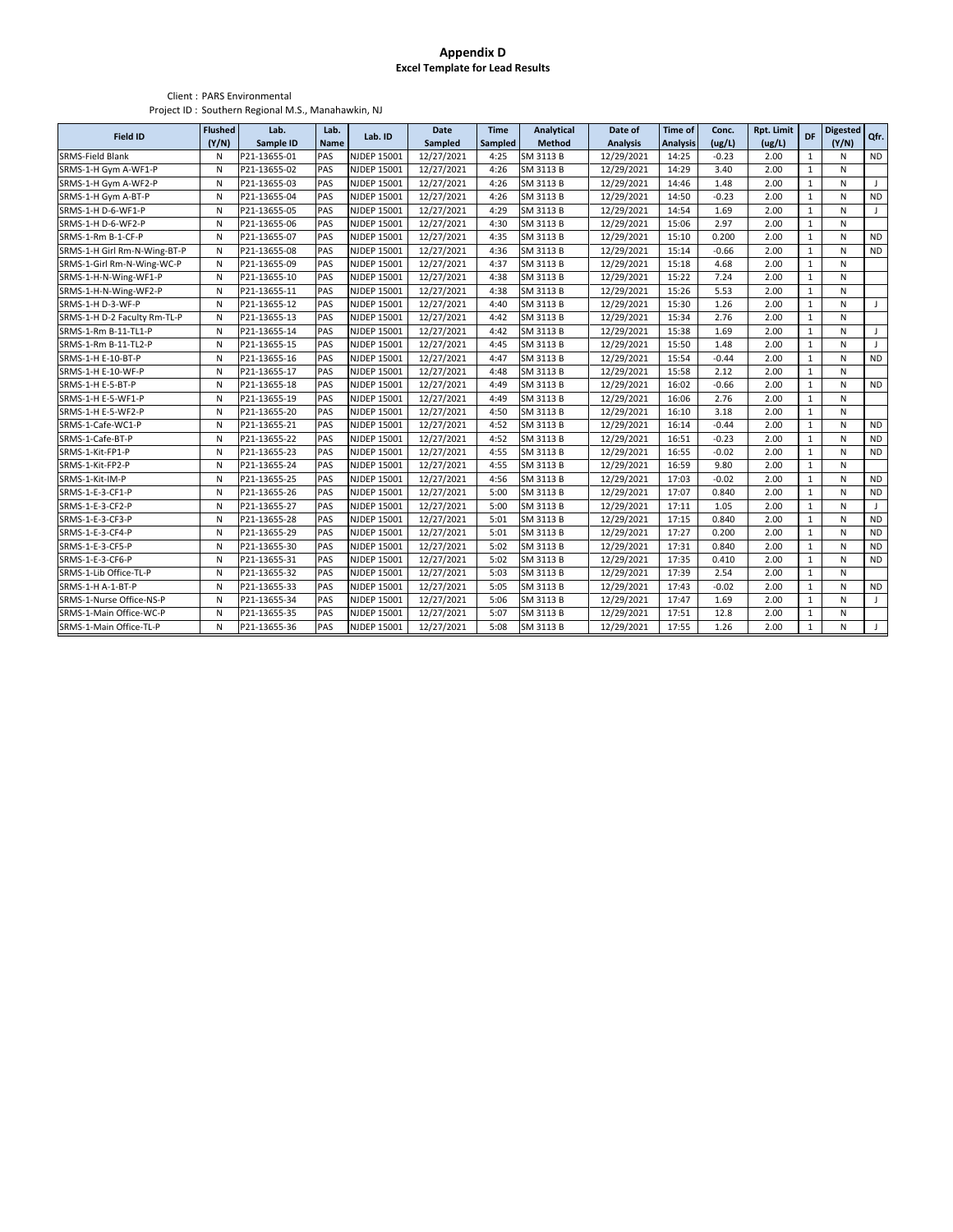#### **Appendix D Excel Template for Lead Results**

#### Client : PARS Environmental Project ID : Southern Regional M.S., Manahawkin, NJ

| <b>Field ID</b>              | <b>Flushed</b><br>(Y/N) | Lab.<br>Sample ID | Lab.<br><b>Name</b> | Lab. ID            | <b>Date</b><br>Sampled | <b>Time</b><br>Sampled | Analytical<br>Method | Date of<br><b>Analysis</b> | <b>Time of</b><br><b>Analysis</b> | Conc.<br>(ug/L) | <b>Rpt. Limit</b><br>(ug/L) | DF           | <b>Digested</b><br>(Y/N) | Qfr.         |
|------------------------------|-------------------------|-------------------|---------------------|--------------------|------------------------|------------------------|----------------------|----------------------------|-----------------------------------|-----------------|-----------------------------|--------------|--------------------------|--------------|
| <b>SRMS-Field Blank</b>      | N                       | P21-13655-01      | PAS                 | <b>NJDEP 15001</b> | 12/27/2021             | 4:25                   | SM 3113 B            | 12/29/2021                 | 14:25                             | $-0.23$         | 2.00                        | $\mathbf{1}$ | N                        | <b>ND</b>    |
| SRMS-1-H Gym A-WF1-P         | N                       | P21-13655-02      | PAS                 | <b>NJDEP 15001</b> | 12/27/2021             | 4:26                   | SM 3113 B            | 12/29/2021                 | 14:29                             | 3.40            | 2.00                        | $\mathbf{1}$ | N                        |              |
| SRMS-1-H Gym A-WF2-P         | N                       | P21-13655-03      | PAS                 | <b>NJDEP 15001</b> | 12/27/2021             | 4:26                   | SM 3113 B            | 12/29/2021                 | 14:46                             | 1.48            | 2.00                        | $\mathbf{1}$ | N                        | J            |
| SRMS-1-H Gym A-BT-P          | N                       | P21-13655-04      | <b>PAS</b>          | <b>NJDEP 15001</b> | 12/27/2021             | 4:26                   | SM 3113 B            | 12/29/2021                 | 14:50                             | $-0.23$         | 2.00                        | $\mathbf{1}$ | N                        | <b>ND</b>    |
| SRMS-1-H D-6-WF1-P           | N                       | P21-13655-05      | PAS                 | <b>NJDEP 15001</b> | 12/27/2021             | 4:29                   | SM 3113 B            | 12/29/2021                 | 14:54                             | 1.69            | 2.00                        | $\mathbf{1}$ | N                        | J            |
| SRMS-1-H D-6-WF2-P           | N                       | P21-13655-06      | PAS                 | <b>NJDEP 15001</b> | 12/27/2021             | 4:30                   | SM 3113 B            | 12/29/2021                 | 15:06                             | 2.97            | 2.00                        | $\mathbf{1}$ | N                        |              |
| SRMS-1-Rm B-1-CF-P           | N                       | P21-13655-07      | PAS                 | <b>NJDEP 15001</b> | 12/27/2021             | 4:35                   | SM 3113 B            | 12/29/2021                 | 15:10                             | 0.200           | 2.00                        | $\mathbf{1}$ | N                        | <b>ND</b>    |
| SRMS-1-H Girl Rm-N-Wing-BT-P | N                       | P21-13655-08      | <b>PAS</b>          | <b>NJDEP 15001</b> | 12/27/2021             | 4:36                   | SM 3113 B            | 12/29/2021                 | 15:14                             | $-0.66$         | 2.00                        | $\mathbf{1}$ | N                        | <b>ND</b>    |
| SRMS-1-Girl Rm-N-Wing-WC-P   | N                       | P21-13655-09      | PAS                 | <b>NJDEP 15001</b> | 12/27/2021             | 4:37                   | SM 3113 B            | 12/29/2021                 | 15:18                             | 4.68            | 2.00                        | $\mathbf{1}$ | N                        |              |
| SRMS-1-H-N-Wing-WF1-P        | N                       | P21-13655-10      | PAS                 | <b>NJDEP 15001</b> | 12/27/2021             | 4:38                   | SM 3113 B            | 12/29/2021                 | 15:22                             | 7.24            | 2.00                        | $\mathbf{1}$ | N                        |              |
| SRMS-1-H-N-Wing-WF2-P        | N                       | P21-13655-11      | PAS                 | <b>NJDEP 15001</b> | 12/27/2021             | 4:38                   | SM 3113 B            | 12/29/2021                 | 15:26                             | 5.53            | 2.00                        | $\mathbf{1}$ | N                        |              |
| SRMS-1-H D-3-WF-P            | N                       | P21-13655-12      | PAS                 | <b>NJDEP 15001</b> | 12/27/2021             | 4:40                   | SM 3113 B            | 12/29/2021                 | 15:30                             | 1.26            | 2.00                        | $\mathbf{1}$ | N                        | $\mathsf J$  |
| SRMS-1-H D-2 Faculty Rm-TL-P | N                       | P21-13655-13      | PAS                 | <b>NJDEP 15001</b> | 12/27/2021             | 4:42                   | SM 3113 B            | 12/29/2021                 | 15:34                             | 2.76            | 2.00                        | $\mathbf{1}$ | N                        |              |
| SRMS-1-Rm B-11-TL1-P         | N                       | P21-13655-14      | PAS                 | <b>NJDEP 15001</b> | 12/27/2021             | 4:42                   | SM 3113 B            | 12/29/2021                 | 15:38                             | 1.69            | 2.00                        | $\mathbf{1}$ | N                        | $\mathsf J$  |
| SRMS-1-Rm B-11-TL2-P         | N                       | P21-13655-15      | PAS                 | <b>NJDEP 15001</b> | 12/27/2021             | 4:45                   | SM 3113 B            | 12/29/2021                 | 15:50                             | 1.48            | 2.00                        | $\mathbf{1}$ | N                        | $\mathbf{J}$ |
| SRMS-1-H E-10-BT-P           | N                       | P21-13655-16      | PAS                 | <b>NJDEP 15001</b> | 12/27/2021             | 4:47                   | SM 3113 B            | 12/29/2021                 | 15:54                             | $-0.44$         | 2.00                        | $\mathbf{1}$ | N                        | <b>ND</b>    |
| SRMS-1-H E-10-WF-P           | N                       | P21-13655-17      | PAS                 | <b>NJDEP 15001</b> | 12/27/2021             | 4:48                   | SM 3113 B            | 12/29/2021                 | 15:58                             | 2.12            | 2.00                        | $\mathbf 1$  | N                        |              |
| SRMS-1-H E-5-BT-P            | N                       | P21-13655-18      | PAS                 | <b>NJDEP 15001</b> | 12/27/2021             | 4:49                   | SM 3113 B            | 12/29/2021                 | 16:02                             | $-0.66$         | 2.00                        | $\mathbf{1}$ | N                        | <b>ND</b>    |
| SRMS-1-H E-5-WF1-P           | N                       | P21-13655-19      | PAS                 | <b>NJDEP 15001</b> | 12/27/2021             | 4:49                   | SM 3113 B            | 12/29/2021                 | 16:06                             | 2.76            | 2.00                        | $\mathbf{1}$ | N                        |              |
| SRMS-1-H E-5-WF2-P           | N                       | P21-13655-20      | PAS                 | <b>NJDEP 15001</b> | 12/27/2021             | 4:50                   | SM 3113 B            | 12/29/2021                 | 16:10                             | 3.18            | 2.00                        | $\mathbf{1}$ | N                        |              |
| SRMS-1-Cafe-WC1-P            | N                       | P21-13655-21      | PAS                 | <b>NJDEP 15001</b> | 12/27/2021             | 4:52                   | SM 3113 B            | 12/29/2021                 | 16:14                             | $-0.44$         | 2.00                        | $\mathbf{1}$ | N                        | <b>ND</b>    |
| SRMS-1-Cafe-BT-P             | N                       | P21-13655-22      | PAS                 | <b>NJDEP 15001</b> | 12/27/2021             | 4:52                   | SM 3113 B            | 12/29/2021                 | 16:51                             | $-0.23$         | 2.00                        | $\mathbf{1}$ | N                        | <b>ND</b>    |
| SRMS-1-Kit-FP1-P             | N                       | P21-13655-23      | PAS                 | <b>NJDEP 15001</b> | 12/27/2021             | 4:55                   | SM 3113 B            | 12/29/2021                 | 16:55                             | $-0.02$         | 2.00                        | $\mathbf{1}$ | N                        | <b>ND</b>    |
| SRMS-1-Kit-FP2-P             | N                       | P21-13655-24      | PAS                 | <b>NJDEP 15001</b> | 12/27/2021             | 4:55                   | SM 3113 B            | 12/29/2021                 | 16:59                             | 9.80            | 2.00                        | $\mathbf{1}$ | N                        |              |
| SRMS-1-Kit-IM-P              | N                       | P21-13655-25      | PAS                 | <b>NJDEP 15001</b> | 12/27/2021             | 4:56                   | SM 3113 B            | 12/29/2021                 | 17:03                             | $-0.02$         | 2.00                        | $\mathbf{1}$ | N                        | <b>ND</b>    |
| SRMS-1-E-3-CF1-P             | N                       | P21-13655-26      | PAS                 | <b>NJDEP 15001</b> | 12/27/2021             | 5:00                   | SM 3113 B            | 12/29/2021                 | 17:07                             | 0.840           | 2.00                        | $\mathbf{1}$ | N                        | <b>ND</b>    |
| SRMS-1-E-3-CF2-P             | N                       | P21-13655-27      | <b>PAS</b>          | <b>NJDEP 15001</b> | 12/27/2021             | 5:00                   | SM 3113 B            | 12/29/2021                 | 17:11                             | 1.05            | 2.00                        | $\mathbf{1}$ | N                        | J            |
| SRMS-1-E-3-CF3-P             | N                       | P21-13655-28      | <b>PAS</b>          | <b>NJDEP 15001</b> | 12/27/2021             | 5:01                   | SM 3113 B            | 12/29/2021                 | 17:15                             | 0.840           | 2.00                        | $\mathbf{1}$ | N                        | <b>ND</b>    |
| SRMS-1-E-3-CF4-P             | N                       | P21-13655-29      | PAS                 | <b>NJDEP 15001</b> | 12/27/2021             | 5:01                   | SM 3113 B            | 12/29/2021                 | 17:27                             | 0.200           | 2.00                        | $\mathbf{1}$ | N                        | <b>ND</b>    |
| SRMS-1-E-3-CF5-P             | N                       | P21-13655-30      | PAS                 | <b>NJDEP 15001</b> | 12/27/2021             | 5:02                   | SM 3113 B            | 12/29/2021                 | 17:31                             | 0.840           | 2.00                        | $\mathbf{1}$ | N                        | <b>ND</b>    |
| SRMS-1-E-3-CF6-P             | N                       | P21-13655-31      | PAS                 | <b>NJDEP 15001</b> | 12/27/2021             | 5:02                   | SM 3113 B            | 12/29/2021                 | 17:35                             | 0.410           | 2.00                        | $\mathbf{1}$ | N                        | <b>ND</b>    |
| SRMS-1-Lib Office-TL-P       | N                       | P21-13655-32      | PAS                 | <b>NJDEP 15001</b> | 12/27/2021             | 5:03                   | SM 3113 B            | 12/29/2021                 | 17:39                             | 2.54            | 2.00                        | $\mathbf{1}$ | N                        |              |
| SRMS-1-H A-1-BT-P            | N                       | P21-13655-33      | PAS                 | <b>NJDEP 15001</b> | 12/27/2021             | 5:05                   | SM 3113 B            | 12/29/2021                 | 17:43                             | $-0.02$         | 2.00                        | $\mathbf{1}$ | N                        | <b>ND</b>    |
| SRMS-1-Nurse Office-NS-P     | N                       | P21-13655-34      | PAS                 | <b>NJDEP 15001</b> | 12/27/2021             | 5:06                   | SM 3113 B            | 12/29/2021                 | 17:47                             | 1.69            | 2.00                        | $\mathbf{1}$ | N                        | $\mathbf{J}$ |
| SRMS-1-Main Office-WC-P      | N                       | P21-13655-35      | PAS                 | <b>NJDEP 15001</b> | 12/27/2021             | 5:07                   | SM 3113 B            | 12/29/2021                 | 17:51                             | 12.8            | 2.00                        | $\mathbf{1}$ | N                        |              |
| SRMS-1-Main Office-TL-P      | N                       | P21-13655-36      | PAS                 | <b>NJDEP 15001</b> | 12/27/2021             | 5:08                   | SM 3113 B            | 12/29/2021                 | 17:55                             | 1.26            | 2.00                        | $\mathbf{1}$ | N                        | $\mathbf{J}$ |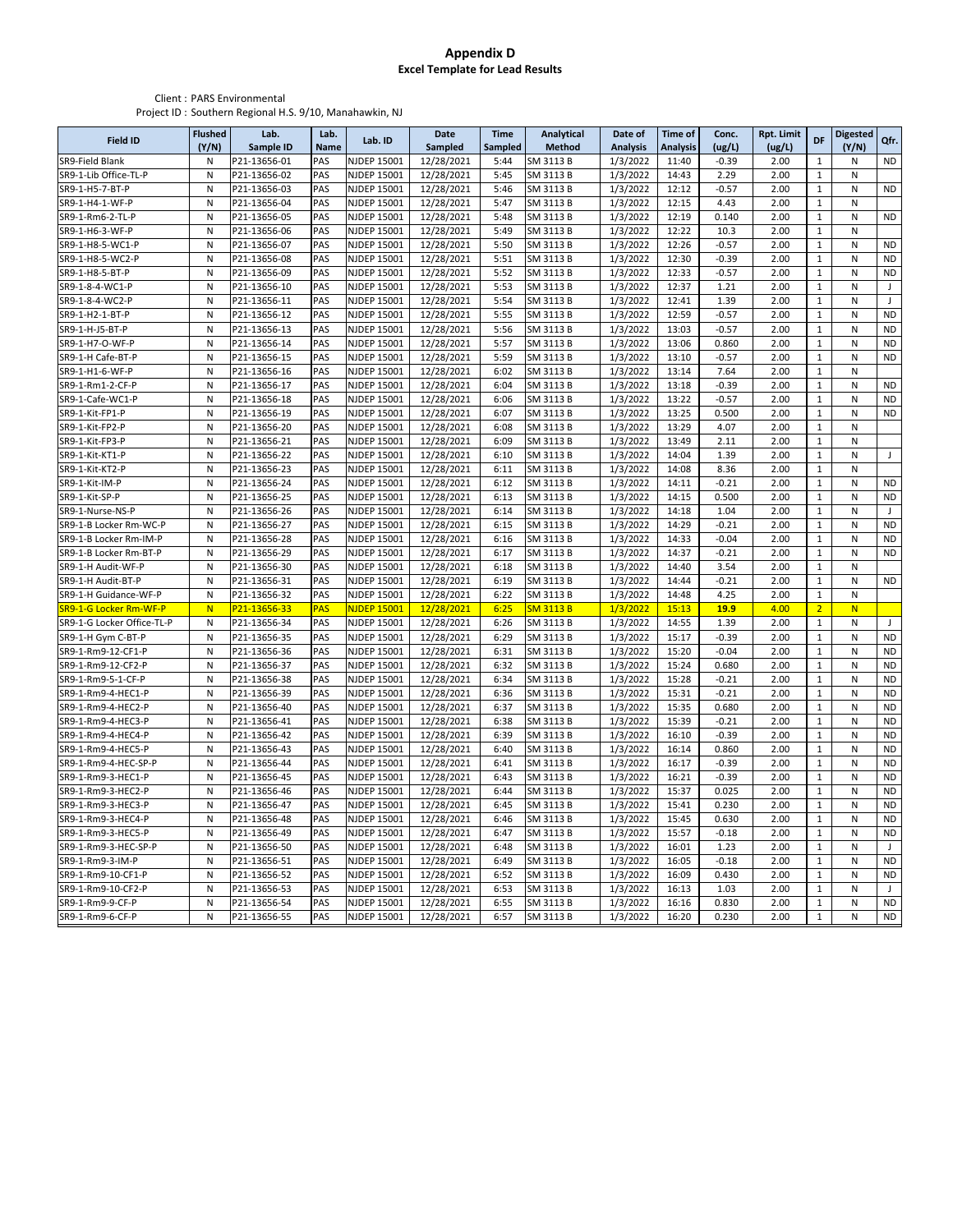#### **Appendix D Excel Template for Lead Results**

#### Client : PARS Environmental Project ID : Southern Regional H.S. 9/10, Manahawkin, NJ

|                                          | <b>Flushed</b> | Lab.                         | Lab.        |                            | <b>Date</b>              | <b>Time</b>    | <b>Analytical</b>      | Date of              | <b>Time of</b>  | Conc.            | <b>Rpt. Limit</b> |                       | <b>Digested</b> |                        |
|------------------------------------------|----------------|------------------------------|-------------|----------------------------|--------------------------|----------------|------------------------|----------------------|-----------------|------------------|-------------------|-----------------------|-----------------|------------------------|
| <b>Field ID</b>                          | (Y/N)          | Sample ID                    | <b>Name</b> | Lab. ID                    | Sampled                  | <b>Sampled</b> | Method                 | <b>Analysis</b>      | <b>Analysis</b> | (ug/L)           | (ug/L)            | DF                    | (Y/N)           | Qfr.                   |
| SR9-Field Blank                          | N              | P21-13656-01                 | PAS         | NJDEP 15001                | 12/28/2021               | 5:44           | SM 3113 B              | 1/3/2022             | 11:40           | $-0.39$          | 2.00              | $\mathbf{1}$          | N               | <b>ND</b>              |
| SR9-1-Lib Office-TL-P                    | N              | P21-13656-02                 | PAS         | NJDEP 15001                | 12/28/2021               | 5:45           | SM 3113 B              | 1/3/2022             | 14:43           | 2.29             | 2.00              | $1\,$                 | N               |                        |
| SR9-1-H5-7-BT-P                          | N              | P21-13656-03                 | PAS         | NJDEP 15001                | 12/28/2021               | 5:46           | SM 3113 B              | 1/3/2022             | 12:12           | $-0.57$          | 2.00              | $\mathbf 1$           | N               | <b>ND</b>              |
| SR9-1-H4-1-WF-P                          | N              | P21-13656-04                 | PAS         | NJDEP 15001                | 12/28/2021               | 5:47           | SM 3113 B              | 1/3/2022             | 12:15           | 4.43             | 2.00              | $\mathbf{1}$          | N               |                        |
| SR9-1-Rm6-2-TL-P                         | N              | P21-13656-05                 | PAS         | NJDEP 15001                | 12/28/2021               | 5:48           | SM 3113 B              | 1/3/2022             | 12:19           | 0.140            | 2.00              | $1\,$                 | N               | <b>ND</b>              |
| SR9-1-H6-3-WF-P                          | N              | P21-13656-06                 | PAS         | NJDEP 15001                | 12/28/2021               | 5:49           | SM 3113 B              | 1/3/2022             | 12:22           | 10.3             | 2.00              | $\mathbf{1}$          | N               |                        |
| SR9-1-H8-5-WC1-P                         | N              | P21-13656-07                 | PAS         | NJDEP 15001                | 12/28/2021               | 5:50           | SM 3113 B              | 1/3/2022             | 12:26           | $-0.57$          | 2.00              | $\mathbf{1}$          | N               | <b>ND</b>              |
| SR9-1-H8-5-WC2-P                         | N              | P21-13656-08                 | PAS         | NJDEP 15001                | 12/28/2021               | 5:51           | SM 3113 B              | 1/3/2022             | 12:30           | $-0.39$          | 2.00              | $\mathbf{1}$          | N               | <b>ND</b>              |
| SR9-1-H8-5-BT-P                          | N              | P21-13656-09                 | PAS         | NJDEP 15001                | 12/28/2021               | 5:52           | SM 3113 B              | 1/3/2022             | 12:33           | $-0.57$          | 2.00              | $1\,$                 | N               | <b>ND</b>              |
| SR9-1-8-4-WC1-P                          | N              | P21-13656-10                 | PAS         | NJDEP 15001                | 12/28/2021               | 5:53           | SM 3113 B              | 1/3/2022             | 12:37           | 1.21             | 2.00              | $\mathbf 1$           | N               | J                      |
| SR9-1-8-4-WC2-P                          | N              | P21-13656-11                 | PAS         | NJDEP 15001                | 12/28/2021               | 5:54           | SM 3113 B              | 1/3/2022             | 12:41           | 1.39             | 2.00              | $\mathbf{1}$          | N               | $\mathbf{J}$           |
| SR9-1-H2-1-BT-P                          | N              | P21-13656-12                 | PAS         | NJDEP 15001                | 12/28/2021               | 5:55           | SM 3113 B              | 1/3/2022             | 12:59           | $-0.57$          | 2.00              | 1                     | N               | <b>ND</b>              |
| SR9-1-H-J5-BT-P                          | N              | P21-13656-13                 | PAS         | NJDEP 15001                | 12/28/2021               | 5:56           | SM 3113 B              | 1/3/2022             | 13:03           | $-0.57$          | 2.00              | $\,1\,$               | N               | <b>ND</b>              |
| SR9-1-H7-O-WF-P                          | N              | P21-13656-14                 | PAS         | NJDEP 15001                | 12/28/2021               | 5:57           | SM 3113 B              | 1/3/2022             | 13:06           | 0.860            | 2.00              | $1\,$                 | N               | <b>ND</b>              |
| SR9-1-H Cafe-BT-P                        | N              | P21-13656-15                 | PAS         | NJDEP 15001                | 12/28/2021               | 5:59           | SM 3113 B              | 1/3/2022             | 13:10           | $-0.57$          | 2.00              | $\mathbf 1$           | N               | <b>ND</b>              |
| SR9-1-H1-6-WF-P                          | N              | P21-13656-16                 | PAS         | NJDEP 15001                | 12/28/2021               | 6:02           | SM 3113 B              | 1/3/2022             | 13:14           | 7.64             | 2.00              | $\mathbf{1}$          | N               |                        |
| SR9-1-Rm1-2-CF-P                         | N              | P21-13656-17                 | PAS         | NJDEP 15001                | 12/28/2021               | 6:04           | SM 3113 B              | 1/3/2022             | 13:18           | $-0.39$          | 2.00              | $\mathbf 1$           | N               | <b>ND</b>              |
| SR9-1-Cafe-WC1-P                         | N              | P21-13656-18                 | PAS         | NJDEP 15001                | 12/28/2021               | 6:06           | SM 3113 B              | 1/3/2022             | 13:22           | $-0.57$          | 2.00              | $1\,$                 | N               | <b>ND</b>              |
| SR9-1-Kit-FP1-P                          | N              | P21-13656-19                 | PAS         | NJDEP 15001                | 12/28/2021               | 6:07           | SM 3113 B              | 1/3/2022             | 13:25           | 0.500            | 2.00              | $1\,$                 | N               | <b>ND</b>              |
| SR9-1-Kit-FP2-P                          | N              | P21-13656-20                 | PAS         | NJDEP 15001                | 12/28/2021               | 6:08           | SM 3113 B              | 1/3/2022             | 13:29           | 4.07             | 2.00              | $\mathbf{1}$          | N               |                        |
| SR9-1-Kit-FP3-P                          | N              | P21-13656-21                 | PAS         | NJDEP 15001                | 12/28/2021               | 6:09           | SM 3113 B              | 1/3/2022             | 13:49           | 2.11             | 2.00              | 1                     | N               |                        |
| SR9-1-Kit-KT1-P                          | N              | P21-13656-22                 | PAS         | NJDEP 15001                | 12/28/2021               | 6:10           | SM 3113 B              | 1/3/2022             | 14:04           | 1.39             | 2.00              | $\mathbf{1}$          | N               | J                      |
| SR9-1-Kit-KT2-P                          | N              | P21-13656-23                 | PAS         | NJDEP 15001                | 12/28/2021               | 6:11           | SM 3113 B              | 1/3/2022             | 14:08           | 8.36             | 2.00              | $1\,$                 | N               |                        |
| SR9-1-Kit-IM-P                           | N              | P21-13656-24                 | PAS         | NJDEP 15001                | 12/28/2021               | 6:12           | SM 3113 B              | 1/3/2022             | 14:11           | $-0.21$          | 2.00              | $1\,$                 | N               | <b>ND</b>              |
| SR9-1-Kit-SP-P                           | N              | P21-13656-25                 | PAS         | NJDEP 15001                | 12/28/2021               | 6:13           | SM 3113 B              | 1/3/2022             | 14:15           | 0.500            | 2.00              | $\mathbf{1}$          | N               | <b>ND</b>              |
| SR9-1-Nurse-NS-P                         | N              | P21-13656-26                 | PAS         | NJDEP 15001                | 12/28/2021               | 6:14           | SM 3113 B              | 1/3/2022             | 14:18           | 1.04             | 2.00              | $\mathbf{1}$          | N               | $\mathbf{J}$           |
| SR9-1-B Locker Rm-WC-P                   | N              | P21-13656-27                 | <b>PAS</b>  | NJDEP 15001                | 12/28/2021               | 6:15           | SM 3113 B              | 1/3/2022             | 14:29           | $-0.21$          | 2.00              | $1\,$                 | N               | <b>ND</b>              |
| SR9-1-B Locker Rm-IM-P                   | N              | P21-13656-28                 | PAS         | NJDEP 15001                | 12/28/2021               | 6:16           | SM 3113 B              | 1/3/2022             | 14:33           | $-0.04$          | 2.00              | $1\,$                 | N               | <b>ND</b>              |
| SR9-1-B Locker Rm-BT-P                   | N              | P21-13656-29                 | PAS         | NJDEP 15001                | 12/28/2021               | 6:17           | SM 3113 B              | 1/3/2022             | 14:37           | $-0.21$          | 2.00              | $1\,$                 | N               | <b>ND</b>              |
| SR9-1-H Audit-WF-P                       | N              | P21-13656-30                 | PAS         | NJDEP 15001                | 12/28/2021               | 6:18           | SM 3113 B              | 1/3/2022             | 14:40           | 3.54             | 2.00              | $\mathbf{1}$          | N               |                        |
| SR9-1-H Audit-BT-P                       | N              | P21-13656-31                 | PAS         | NJDEP 15001                | 12/28/2021               | 6:19           | SM 3113 B              | 1/3/2022             | 14:44           | $-0.21$          | 2.00              | $\mathbf{1}$          | N               | <b>ND</b>              |
| SR9-1-H Guidance-WF-P                    | N              | P21-13656-32                 | PAS         | NJDEP 15001                | 12/28/2021               | 6:22           | SM 3113 B              | 1/3/2022             | 14:48           | 4.25             | 2.00              | $\mathbf{1}$          | N               |                        |
| SR9-1-G Locker Rm-WF-P                   | N              | P21-13656-33                 | <b>PAS</b>  | NJDEP 15001                | 12/28/2021               | 6:25           | <b>SM 3113 B</b>       | 1/3/2022             | 15:13           | 19.9             | 4.00              | $\overline{2}$        | N               |                        |
| SR9-1-G Locker Office-TL-P               | N              | P21-13656-34                 | PAS         | NJDEP 15001                | 12/28/2021               | 6:26           | SM 3113 B              | 1/3/2022             | 14:55           | 1.39             | 2.00              | $1\,$                 | N               | J                      |
| SR9-1-H Gym C-BT-P                       | N              | P21-13656-35                 | PAS         | NJDEP 15001                | 12/28/2021               | 6:29           | SM 3113 B              | 1/3/2022             | 15:17           | $-0.39$          | 2.00              | $\mathbf{1}$          | N               | <b>ND</b>              |
| SR9-1-Rm9-12-CF1-P                       | N              | P21-13656-36                 | PAS         | NJDEP 15001                | 12/28/2021               | 6:31           | SM 3113 B              | 1/3/2022             | 15:20           | $-0.04$          | 2.00              | $\mathbf{1}$          | N               | <b>ND</b>              |
| SR9-1-Rm9-12-CF2-P                       | N              | P21-13656-37                 | PAS         | NJDEP 15001                | 12/28/2021               | 6:32           | SM 3113 B              | 1/3/2022             | 15:24           | 0.680            | 2.00              | $\mathbf{1}$          | N               | <b>ND</b>              |
| SR9-1-Rm9-5-1-CF-P                       | N              | P21-13656-38                 | PAS         | NJDEP 15001                | 12/28/2021               | 6:34           | SM 3113 B              | 1/3/2022             | 15:28           | $-0.21$          | 2.00              | $\mathbf{1}$          | ${\sf N}$       | <b>ND</b>              |
| SR9-1-Rm9-4-HEC1-P                       | N              | P21-13656-39                 | PAS         | NJDEP 15001                | 12/28/2021               | 6:36           | SM 3113 B              | 1/3/2022             | 15:31           | $-0.21$          | 2.00              | $1\,$                 | N               | <b>ND</b>              |
| SR9-1-Rm9-4-HEC2-P                       | N              | P21-13656-40                 | PAS         | NJDEP 15001                | 12/28/2021               | 6:37           | SM 3113 B              | 1/3/2022             | 15:35           | 0.680            | 2.00              | $\mathbf{1}$          | N               | <b>ND</b>              |
| SR9-1-Rm9-4-HEC3-P                       | N              | P21-13656-41                 | PAS         | NJDEP 15001                | 12/28/2021               | 6:38           | SM 3113 B              | 1/3/2022             | 15:39           | $-0.21$          | 2.00              | $1\,$                 | N               | <b>ND</b>              |
| SR9-1-Rm9-4-HEC4-P                       | N              | P21-13656-42                 | PAS         | NJDEP 15001                | 12/28/2021               | 6:39           | SM 3113 B              | 1/3/2022             | 16:10           | $-0.39$          | 2.00              | $\mathbf{1}$          | N               | <b>ND</b>              |
| SR9-1-Rm9-4-HEC5-P                       | N              | P21-13656-43                 | PAS         | NJDEP 15001                | 12/28/2021               | 6:40           | SM 3113 B              | 1/3/2022             | 16:14           | 0.860            | 2.00              | $\mathbf 1$           | ${\sf N}$       | <b>ND</b>              |
| SR9-1-Rm9-4-HEC-SP-P                     | N              | P21-13656-44                 | PAS         | NJDEP 15001                | 12/28/2021               | 6:41           | SM 3113 B              | 1/3/2022             | 16:17           | $-0.39$          | 2.00              | $\mathbf{1}$          | N               | <b>ND</b>              |
|                                          | N              | P21-13656-45                 | PAS         | NJDEP 15001                | 12/28/2021               | 6:43           | SM 3113 B              | 1/3/2022             | 16:21           | $-0.39$          | 2.00              | $1\,$                 | ${\sf N}$       | <b>ND</b>              |
| SR9-1-Rm9-3-HEC1-P                       |                |                              |             |                            |                          |                |                        |                      |                 | 0.025            | 2.00              |                       |                 | <b>ND</b>              |
| SR9-1-Rm9-3-HEC2-P<br>SR9-1-Rm9-3-HEC3-P | N<br>N         | P21-13656-46<br>P21-13656-47 | PAS<br>PAS  | NJDEP 15001<br>NJDEP 15001 | 12/28/2021               | 6:44<br>6:45   | SM 3113 B<br>SM 3113 B | 1/3/2022<br>1/3/2022 | 15:37<br>15:41  | 0.230            | 2.00              | $1\,$<br>$\mathbf{1}$ | N<br>N          | <b>ND</b>              |
| SR9-1-Rm9-3-HEC4-P                       | N              | P21-13656-48                 | PAS         | NJDEP 15001                | 12/28/2021<br>12/28/2021 | 6:46           | SM 3113 B              | 1/3/2022             | 15:45           | 0.630            | 2.00              | $\mathbf{1}$          | ${\sf N}$       | <b>ND</b>              |
|                                          |                |                              |             |                            |                          |                | SM 3113 B              |                      |                 | $-0.18$          |                   |                       |                 | <b>ND</b>              |
| SR9-1-Rm9-3-HEC5-P                       | N              | P21-13656-49                 | PAS         | NJDEP 15001                | 12/28/2021               | 6:47           |                        | 1/3/2022             | 15:57           |                  | 2.00              | $\mathbf{1}$          | N               |                        |
| SR9-1-Rm9-3-HEC-SP-P                     | N              | P21-13656-50                 | PAS         | NJDEP 15001                | 12/28/2021               | 6:48           | SM 3113 B              | 1/3/2022             | 16:01           | 1.23             | 2.00              | $\mathbf 1$           | ${\sf N}$       | $\mathbf{J}$           |
| SR9-1-Rm9-3-IM-P                         | N              | P21-13656-51                 | PAS         | NJDEP 15001                | 12/28/2021               | 6:49           | SM 3113 B              | 1/3/2022             | 16:05           | $-0.18$<br>0.430 | 2.00              | $1\,$                 | N               | <b>ND</b><br><b>ND</b> |
| SR9-1-Rm9-10-CF1-P                       | N              | P21-13656-52                 | PAS         | NJDEP 15001                | 12/28/2021               | 6:52           | SM 3113 B              | 1/3/2022             | 16:09           |                  | 2.00              | $\mathbf{1}$          | N               |                        |
| SR9-1-Rm9-10-CF2-P                       | N              | P21-13656-53                 | PAS         | NJDEP 15001                | 12/28/2021               | 6:53           | SM 3113 B              | 1/3/2022             | 16:13           | 1.03             | 2.00              | $\mathbf{1}$          | N               | $\mathbf{J}$           |
| SR9-1-Rm9-9-CF-P                         | N              | P21-13656-54                 | PAS         | NJDEP 15001                | 12/28/2021               | 6:55           | SM 3113 B              | 1/3/2022             | 16:16           | 0.830            | 2.00              | $1\,$                 | N               | <b>ND</b>              |
| SR9-1-Rm9-6-CF-P                         | N              | P21-13656-55                 | PAS         | NJDEP 15001                | 12/28/2021               | 6:57           | SM 3113 B              | 1/3/2022             | 16:20           | 0.230            | 2.00              | $\mathbf 1$           | N               | <b>ND</b>              |